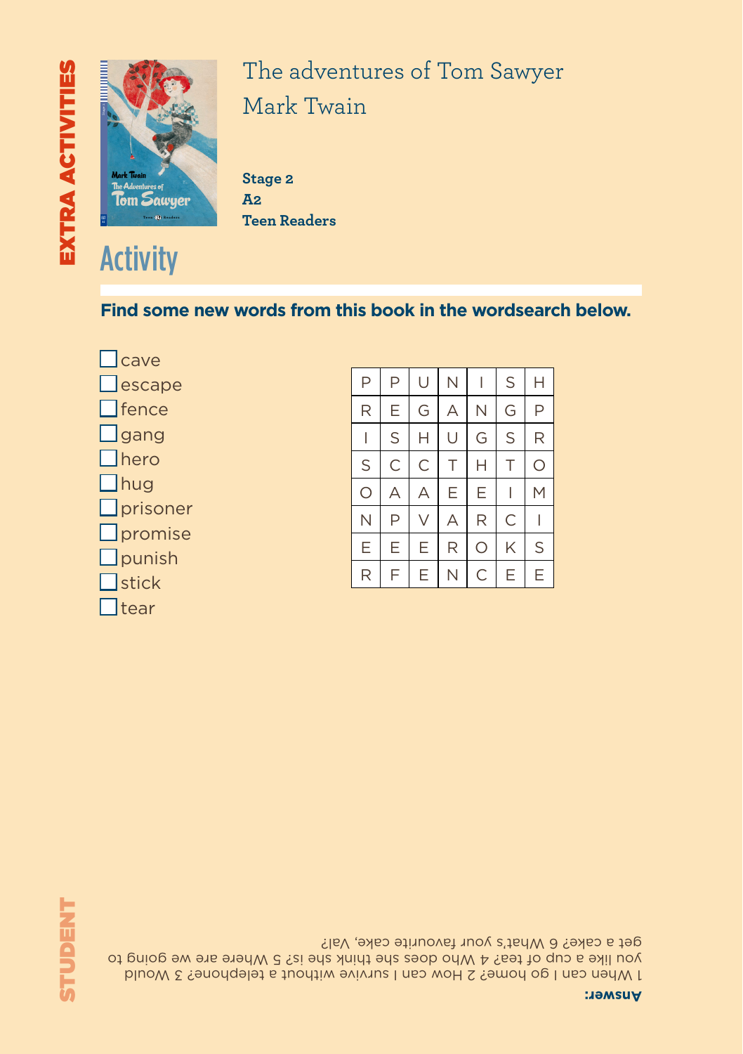# *everyone: at home, in school and in church. With his best friends, Joe, Ben and Huckleberry, Tom lives an exciting outdoor life. But he begins to grow up when pretty Becky Thatcher comes to town, and when something terrible happens in this quiet town near the Mississippi. - A section focusing on Schools in Tom Sawyer's Day* **The Adventures of Tom Sawyer**  $\blacksquare$ **Eli Readers is a beautifully illustrated series of timeless classics and specially-written stories for learners of English.** EXTRA ACTIVITIES STUDENT



#### The adventures of Tom Sawyer Mark Twain *Meet Tom Sawyer, a boy with a good heart who's always in trouble with*

Stage 2 **A2 Teen Readers**

#### **Find some new words from this book in the wordsearch below.**

■ cave  $\Box$  escape ■ fence  $\Box$  gang  $\Box$  hero ■ hug ■ prisoner □ promise  $\Box$  punish  $\Box$  stick Ttear

| P       | P | U | Ν | I | S | Н |
|---------|---|---|---|---|---|---|
| R       | Е | G | A | N | G | P |
| I       | S | Н | U | G | S | R |
| S       | C | C | Τ | Н | T | Ο |
| $\circ$ | А | А | E | E |   | М |
| N       | Ρ | V | А | R | C |   |
| E       | E | E | R | О | K | S |
| R       | F | E | Ν | C | Е | E |

**STUDENT** 

1 When can I go home? 2 How can I survive without a telephone? 3 Would you like a cup of tea? 4 Who does she think she is? 5 Where are we going to get a cake? 6 What's your favourite cake, Val?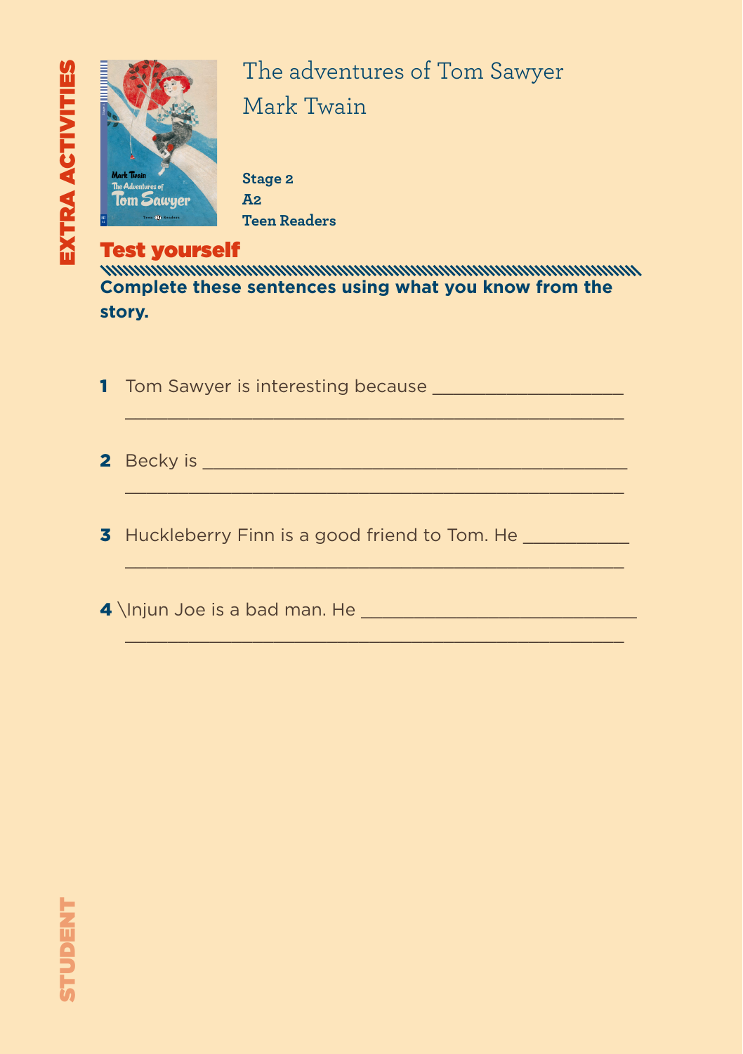

#### The adventures of Tom Sawyer Mark Twain *Meet Tom Sawyer, a boy with a good heart who's always in trouble with*

Stage 2 **A2 Teen Readers**

Test yourself **Complete these sentences using what you know from the story.**

1 Tom Sawyer is interesting because **William School**  $\_$  , and the set of the set of the set of the set of the set of the set of the set of the set of the set of the set of the set of the set of the set of the set of the set of the set of the set of the set of the set of th 2 Becky is \_\_\_\_\_\_\_\_\_\_\_\_\_\_\_\_\_\_\_\_\_\_\_\_\_\_\_\_\_\_\_\_\_\_\_\_\_\_\_\_  $\_$  , and the set of the set of the set of the set of the set of the set of the set of the set of the set of the set of the set of the set of the set of the set of the set of the set of the set of the set of the set of th 3 Huckleberry Finn is a good friend to Tom. He  $\mathcal{L}_\mathcal{L}$  , and the set of the set of the set of the set of the set of the set of the set of the set of the set of the set of the set of the set of the set of the set of the set of the set of the set of the set of th

 $\mathcal{L}_\mathcal{L}$  , and the set of the set of the set of the set of the set of the set of the set of the set of the set of the set of the set of the set of the set of the set of the set of the set of the set of the set of th

4 \Injun Joe is a bad man. He \_\_\_\_\_\_\_\_\_\_\_\_\_\_\_\_\_\_\_\_\_\_\_\_\_\_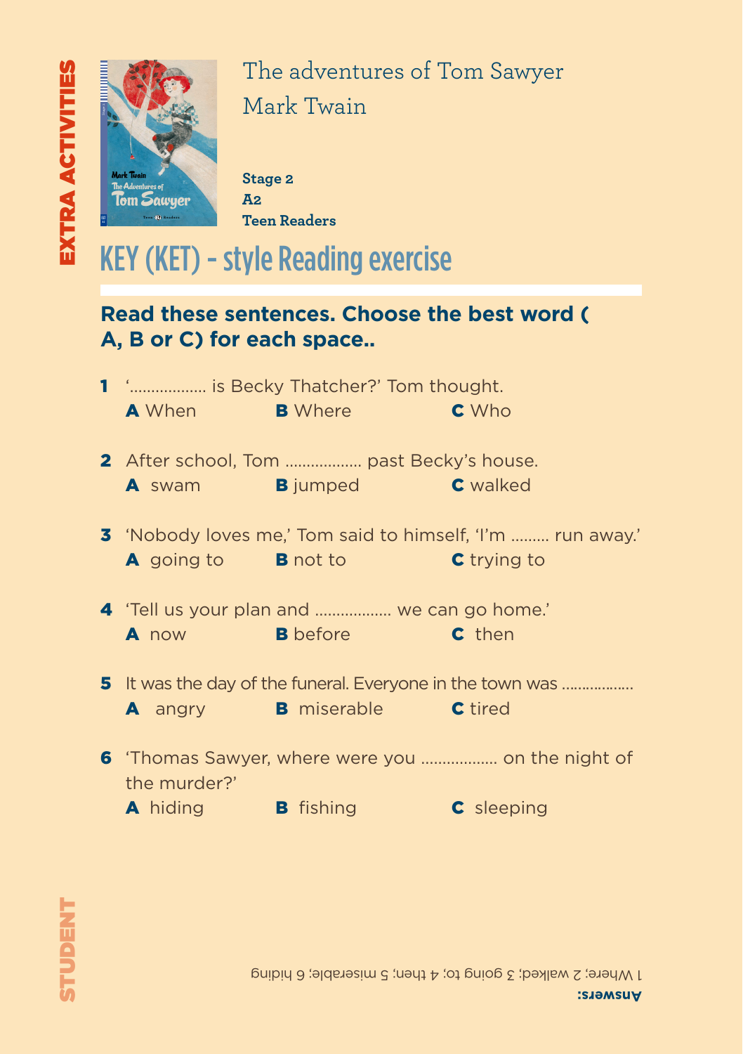

The adventures of Tom Sawyer Mark Twain *Meet Tom Sawyer, a boy with a good heart who's always in trouble with* 

Stage 2 **A2 Teen Readers**

### KEY (KET) - style Reading exercise

#### **Read these sentences. Choose the best word ( A, B or C) for each space..**

| 1 ' is Becky Thatcher?' Tom thought.     |                                                  |                                                                   |  |  |  |
|------------------------------------------|--------------------------------------------------|-------------------------------------------------------------------|--|--|--|
|                                          | <b>A</b> When <b>B</b> Where <b>B</b>            | <b>C</b> Who                                                      |  |  |  |
| 2 After school, Tom  past Becky's house. |                                                  |                                                                   |  |  |  |
|                                          | <b>A</b> swam <b>B</b> jumped <b>C</b> walked    |                                                                   |  |  |  |
|                                          |                                                  | <b>3</b> 'Nobody loves me,' Tom said to himself, 'I'm  run away.' |  |  |  |
|                                          | A going to B not to                              | <b>C</b> trying to                                                |  |  |  |
|                                          | 4 'Tell us your plan and  we can go home.'       |                                                                   |  |  |  |
|                                          | A now <b>B</b> before <b>C</b> then              |                                                                   |  |  |  |
|                                          |                                                  | 5 It was the day of the funeral. Everyone in the town was         |  |  |  |
|                                          | <b>A</b> angry <b>B</b> miserable <b>C</b> tired |                                                                   |  |  |  |
|                                          |                                                  | 6 'Thomas Sawyer, where were you  on the night of                 |  |  |  |
| the murder?'                             |                                                  |                                                                   |  |  |  |
|                                          | A hiding B fishing                               | <b>C</b> sleeping                                                 |  |  |  |